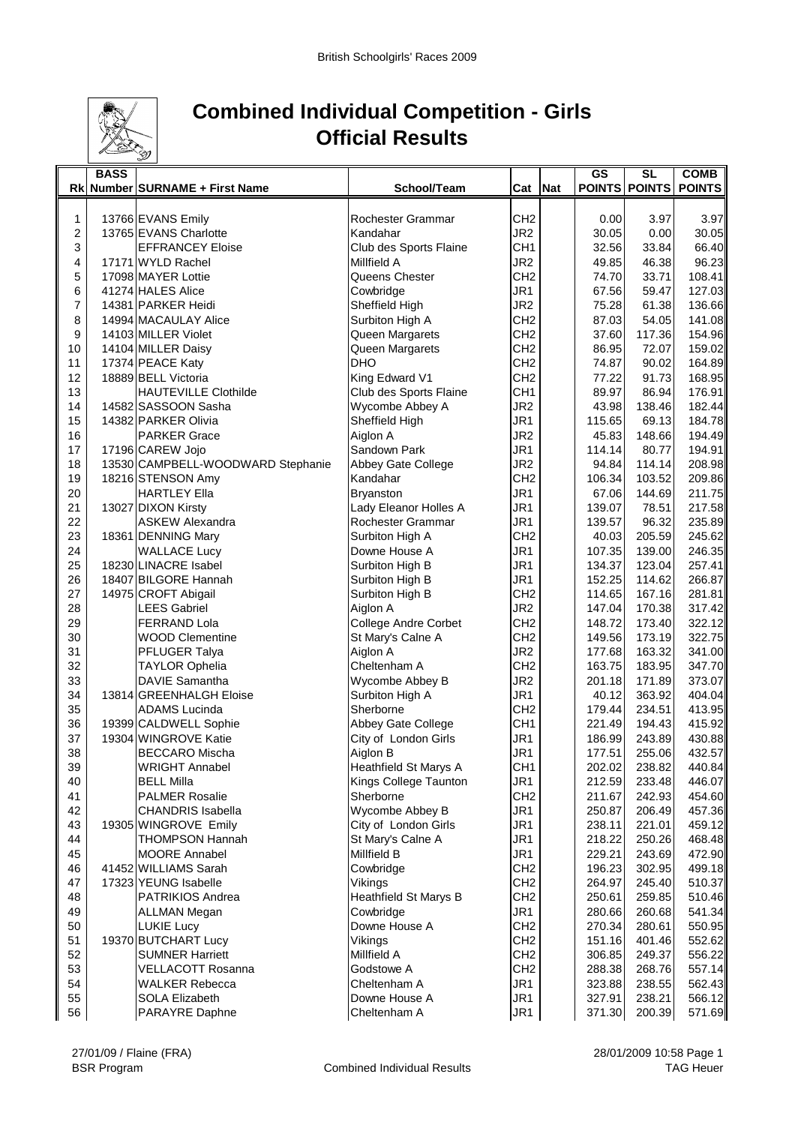

## **Combined Individual Competition - Girls Official Results**

|    | <b>BASS</b> |                                   |                             |                 |     | <b>GS</b>       | <b>SL</b>        | <b>COMB</b>   |
|----|-------------|-----------------------------------|-----------------------------|-----------------|-----|-----------------|------------------|---------------|
|    |             | Rk Number SURNAME + First Name    | School/Team                 | Cat             | Nat |                 | POINTS POINTS    | <b>POINTS</b> |
|    |             |                                   |                             |                 |     |                 |                  |               |
| 1  |             | 13766 EVANS Emily                 | Rochester Grammar           | CH <sub>2</sub> |     | 0.00            | 3.97             | 3.97          |
| 2  |             | 13765 EVANS Charlotte             | Kandahar                    | JR <sub>2</sub> |     | 30.05           | 0.00             | 30.05         |
| 3  |             | <b>EFFRANCEY Eloise</b>           | Club des Sports Flaine      | CH <sub>1</sub> |     | 32.56           | 33.84            | 66.40         |
| 4  |             | 17171 WYLD Rachel                 | Millfield A                 | JR <sub>2</sub> |     | 49.85           | 46.38            | 96.23         |
| 5  |             | 17098 MAYER Lottie                | Queens Chester              | CH <sub>2</sub> |     | 74.70           | 33.71            | 108.41        |
| 6  |             | 41274 HALES Alice                 | Cowbridge                   | JR1             |     | 67.56           | 59.47            | 127.03        |
| 7  |             | 14381 PARKER Heidi                | Sheffield High              | JR <sub>2</sub> |     | 75.28           | 61.38            | 136.66        |
| 8  |             | 14994 MACAULAY Alice              | Surbiton High A             | CH <sub>2</sub> |     | 87.03           | 54.05            | 141.08        |
| 9  |             | 14103 MILLER Violet               | Queen Margarets             | CH <sub>2</sub> |     | 37.60           | 117.36           | 154.96        |
| 10 |             | 14104 MILLER Daisy                | Queen Margarets             | CH <sub>2</sub> |     | 86.95           | 72.07            | 159.02        |
| 11 |             | 17374 PEACE Katy                  | <b>DHO</b>                  | CH <sub>2</sub> |     | 74.87           | 90.02            | 164.89        |
| 12 |             | 18889 BELL Victoria               | King Edward V1              | CH <sub>2</sub> |     | 77.22           | 91.73            | 168.95        |
| 13 |             | <b>HAUTEVILLE Clothilde</b>       | Club des Sports Flaine      | CH <sub>1</sub> |     | 89.97           | 86.94            | 176.91        |
| 14 |             | 14582 SASSOON Sasha               | Wycombe Abbey A             | JR <sub>2</sub> |     | 43.98           | 138.46           | 182.44        |
| 15 |             | 14382 PARKER Olivia               | Sheffield High              | JR1             |     | 115.65          | 69.13            | 184.78        |
| 16 |             | <b>PARKER Grace</b>               | Aiglon A                    | JR2             |     | 45.83           | 148.66           | 194.49        |
| 17 |             | 17196 CAREW Jojo                  | Sandown Park                | JR1             |     | 114.14          | 80.77            | 194.91        |
| 18 |             | 13530 CAMPBELL-WOODWARD Stephanie | Abbey Gate College          | JR2             |     | 94.84           | 114.14           | 208.98        |
| 19 |             | 18216 STENSON Amy                 | Kandahar                    | CH <sub>2</sub> |     | 106.34          | 103.52           | 209.86        |
| 20 |             | <b>HARTLEY Ella</b>               | Bryanston                   | JR1             |     | 67.06           | 144.69           | 211.75        |
| 21 |             | 13027 DIXON Kirsty                | Lady Eleanor Holles A       | JR1             |     | 139.07          | 78.51            | 217.58        |
| 22 |             | <b>ASKEW Alexandra</b>            | Rochester Grammar           | JR1             |     | 139.57          | 96.32            | 235.89        |
| 23 |             | 18361 DENNING Mary                | Surbiton High A             | CH <sub>2</sub> |     | 40.03           | 205.59           | 245.62        |
| 24 |             | <b>WALLACE Lucy</b>               | Downe House A               | JR1             |     | 107.35          | 139.00           | 246.35        |
| 25 |             | 18230 LINACRE Isabel              | Surbiton High B             | JR1             |     | 134.37          | 123.04           | 257.41        |
| 26 |             | 18407 BILGORE Hannah              | Surbiton High B             | JR1             |     | 152.25          | 114.62           | 266.87        |
| 27 |             | 14975 CROFT Abigail               | Surbiton High B             | CH <sub>2</sub> |     | 114.65          | 167.16           | 281.81        |
| 28 |             | <b>LEES Gabriel</b>               | Aiglon A                    | JR2             |     | 147.04          | 170.38           | 317.42        |
| 29 |             | <b>FERRAND Lola</b>               | <b>College Andre Corbet</b> | CH <sub>2</sub> |     | 148.72          | 173.40           | 322.12        |
| 30 |             | <b>WOOD Clementine</b>            | St Mary's Calne A           | CH <sub>2</sub> |     | 149.56          | 173.19           | 322.75        |
| 31 |             | PFLUGER Talya                     | Aiglon A                    | JR2             |     | 177.68          | 163.32           | 341.00        |
| 32 |             |                                   | Cheltenham A                | CH <sub>2</sub> |     | 163.75          | 183.95           | 347.70        |
| 33 |             | <b>TAYLOR Ophelia</b>             |                             | JR <sub>2</sub> |     |                 |                  |               |
| 34 |             | DAVIE Samantha                    | Wycombe Abbey B             | JR1             |     | 201.18<br>40.12 | 171.89           | 373.07        |
| 35 |             | 13814 GREENHALGH Eloise           | Surbiton High A             |                 |     | 179.44          | 363.92<br>234.51 | 404.04        |
|    |             | <b>ADAMS Lucinda</b>              | Sherborne                   | CH <sub>2</sub> |     |                 |                  | 413.95        |
| 36 |             | 19399 CALDWELL Sophie             | Abbey Gate College          | CH <sub>1</sub> |     | 221.49          | 194.43           | 415.92        |
| 37 |             | 19304 WINGROVE Katie              | City of London Girls        | JR1             |     | 186.99          | 243.89           | 430.88        |
| 38 |             | <b>BECCARO</b> Mischa             | Aiglon B                    | JR1             |     | 177.51          | 255.06           | 432.57        |
| 39 |             | <b>WRIGHT Annabel</b>             | Heathfield St Marys A       | CH <sub>1</sub> |     | 202.02          | 238.82           | 440.84        |
| 40 |             | <b>BELL Milla</b>                 | Kings College Taunton       | JR <sub>1</sub> |     | 212.59          | 233.48           | 446.07        |
| 41 |             | <b>PALMER Rosalie</b>             | Sherborne                   | CH <sub>2</sub> |     | 211.67          | 242.93           | 454.60        |
| 42 |             | <b>CHANDRIS Isabella</b>          | Wycombe Abbey B             | JR1             |     | 250.87          | 206.49           | 457.36        |
| 43 |             | 19305 WINGROVE Emily              | City of London Girls        | JR1             |     | 238.11          | 221.01           | 459.12        |
| 44 |             | <b>THOMPSON Hannah</b>            | St Mary's Calne A           | JR1             |     | 218.22          | 250.26           | 468.48        |
| 45 |             | <b>MOORE Annabel</b>              | Millfield B                 | JR1             |     | 229.21          | 243.69           | 472.90        |
| 46 |             | 41452 WILLIAMS Sarah              | Cowbridge                   | CH <sub>2</sub> |     | 196.23          | 302.95           | 499.18        |
| 47 |             | 17323 YEUNG Isabelle              | Vikings                     | CH <sub>2</sub> |     | 264.97          | 245.40           | 510.37        |
| 48 |             | PATRIKIOS Andrea                  | Heathfield St Marys B       | CH <sub>2</sub> |     | 250.61          | 259.85           | 510.46        |
| 49 |             | <b>ALLMAN Megan</b>               | Cowbridge                   | JR1             |     | 280.66          | 260.68           | 541.34        |
| 50 |             | <b>LUKIE Lucy</b>                 | Downe House A               | CH <sub>2</sub> |     | 270.34          | 280.61           | 550.95        |
| 51 |             | 19370 BUTCHART Lucy               | Vikings                     | CH <sub>2</sub> |     | 151.16          | 401.46           | 552.62        |
| 52 |             | <b>SUMNER Harriett</b>            | Millfield A                 | CH <sub>2</sub> |     | 306.85          | 249.37           | 556.22        |
| 53 |             | VELLACOTT Rosanna                 | Godstowe A                  | CH <sub>2</sub> |     | 288.38          | 268.76           | 557.14        |
| 54 |             | <b>WALKER Rebecca</b>             | Cheltenham A                | JR1             |     | 323.88          | 238.55           | 562.43        |
| 55 |             | <b>SOLA Elizabeth</b>             | Downe House A               | JR1             |     | 327.91          | 238.21           | 566.12        |
| 56 |             | PARAYRE Daphne                    | Cheltenham A                | JR <sub>1</sub> |     | 371.30          | 200.39           | 571.69        |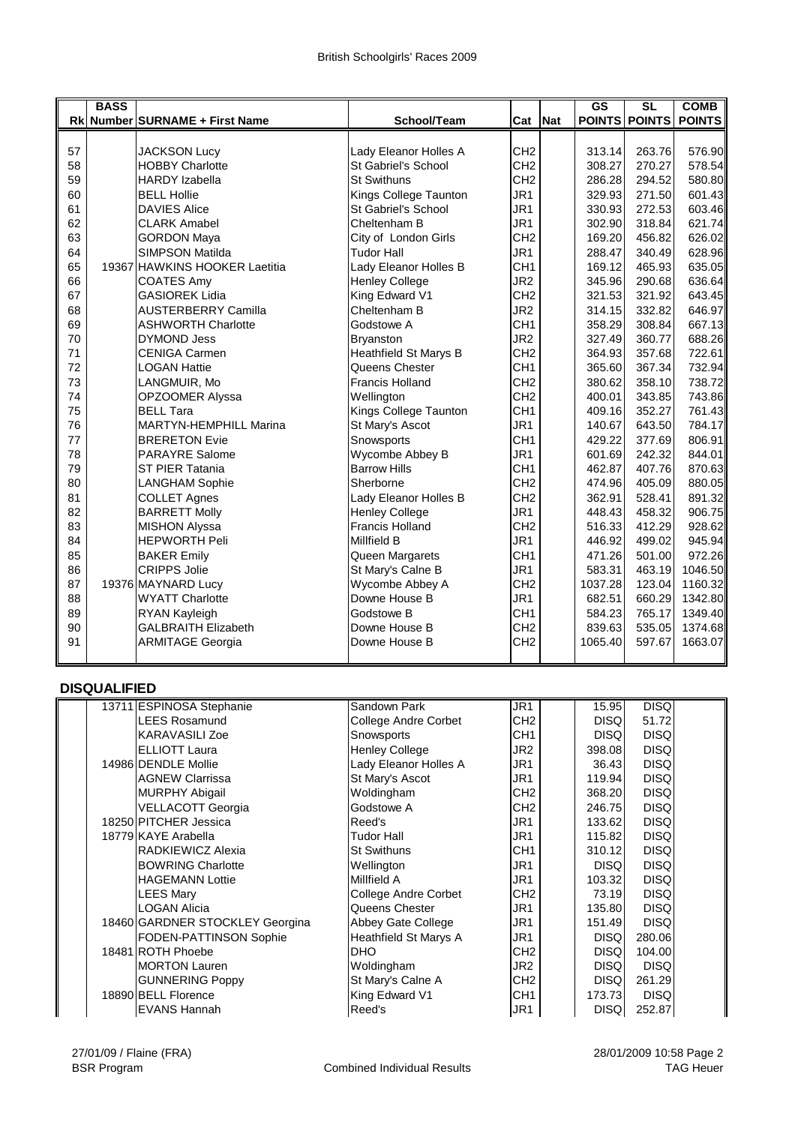|    | <b>BASS</b> |                                |                            |                 |            | <b>GS</b> | <b>SL</b>     | <b>COMB</b>   |
|----|-------------|--------------------------------|----------------------------|-----------------|------------|-----------|---------------|---------------|
|    |             | Rk Number SURNAME + First Name | School/Team                | Cat             | <b>Nat</b> |           | POINTS POINTS | <b>POINTS</b> |
|    |             |                                |                            |                 |            |           |               |               |
| 57 |             | <b>JACKSON Lucy</b>            | Lady Eleanor Holles A      | CH <sub>2</sub> |            | 313.14    | 263.76        | 576.90        |
| 58 |             | <b>HOBBY Charlotte</b>         | <b>St Gabriel's School</b> | CH <sub>2</sub> |            | 308.27    | 270.27        | 578.54        |
| 59 |             | <b>HARDY</b> Izabella          | <b>St Swithuns</b>         | CH <sub>2</sub> |            | 286.28    | 294.52        | 580.80        |
| 60 |             | <b>BELL Hollie</b>             | Kings College Taunton      | JR1             |            | 329.93    | 271.50        | 601.43        |
| 61 |             | <b>DAVIES Alice</b>            | St Gabriel's School        | JR1             |            | 330.93    | 272.53        | 603.46        |
| 62 |             | <b>CLARK Amabel</b>            | Cheltenham B               | JR1             |            | 302.90    | 318.84        | 621.74        |
| 63 |             | <b>GORDON Maya</b>             | City of London Girls       | CH <sub>2</sub> |            | 169.20    | 456.82        | 626.02        |
| 64 |             | <b>SIMPSON Matilda</b>         | <b>Tudor Hall</b>          | JR1             |            | 288.47    | 340.49        | 628.96        |
| 65 |             | 19367 HAWKINS HOOKER Laetitia  | Lady Eleanor Holles B      | CH <sub>1</sub> |            | 169.12    | 465.93        | 635.05        |
| 66 |             | <b>COATES Amy</b>              | <b>Henley College</b>      | JR <sub>2</sub> |            | 345.96    | 290.68        | 636.64        |
| 67 |             | <b>GASIOREK Lidia</b>          | King Edward V1             | CH <sub>2</sub> |            | 321.53    | 321.92        | 643.45        |
| 68 |             | <b>AUSTERBERRY Camilla</b>     | Cheltenham B               | JR <sub>2</sub> |            | 314.15    | 332.82        | 646.97        |
| 69 |             | <b>ASHWORTH Charlotte</b>      | Godstowe A                 | CH <sub>1</sub> |            | 358.29    | 308.84        | 667.13        |
| 70 |             | <b>DYMOND Jess</b>             | <b>Bryanston</b>           | JR <sub>2</sub> |            | 327.49    | 360.77        | 688.26        |
| 71 |             | <b>CENIGA Carmen</b>           | Heathfield St Marys B      | CH <sub>2</sub> |            | 364.93    | 357.68        | 722.61        |
| 72 |             | <b>LOGAN Hattie</b>            | Queens Chester             | CH <sub>1</sub> |            | 365.60    | 367.34        | 732.94        |
| 73 |             | LANGMUIR, Mo                   | <b>Francis Holland</b>     | CH <sub>2</sub> |            | 380.62    | 358.10        | 738.72        |
| 74 |             | OPZOOMER Alyssa                | Wellington                 | CH <sub>2</sub> |            | 400.01    | 343.85        | 743.86        |
| 75 |             | <b>BELL Tara</b>               | Kings College Taunton      | CH <sub>1</sub> |            | 409.16    | 352.27        | 761.43        |
| 76 |             | <b>MARTYN-HEMPHILL Marina</b>  | St Mary's Ascot            | JR1             |            | 140.67    | 643.50        | 784.17        |
| 77 |             | <b>BRERETON Evie</b>           | Snowsports                 | CH <sub>1</sub> |            | 429.22    | 377.69        | 806.91        |
| 78 |             | <b>PARAYRE Salome</b>          | Wycombe Abbey B            | JR1             |            | 601.69    | 242.32        | 844.01        |
| 79 |             | ST PIER Tatania                | <b>Barrow Hills</b>        | CH <sub>1</sub> |            | 462.87    | 407.76        | 870.63        |
| 80 |             | <b>LANGHAM Sophie</b>          | Sherborne                  | CH <sub>2</sub> |            | 474.96    | 405.09        | 880.05        |
| 81 |             | <b>COLLET Agnes</b>            | Lady Eleanor Holles B      | CH <sub>2</sub> |            | 362.91    | 528.41        | 891.32        |
| 82 |             | <b>BARRETT Molly</b>           | <b>Henley College</b>      | JR1             |            | 448.43    | 458.32        | 906.75        |
| 83 |             | <b>MISHON Alyssa</b>           | <b>Francis Holland</b>     | CH <sub>2</sub> |            | 516.33    | 412.29        | 928.62        |
| 84 |             | <b>HEPWORTH Peli</b>           | Millfield B                | JR1             |            | 446.92    | 499.02        | 945.94        |
| 85 |             | <b>BAKER Emily</b>             | Queen Margarets            | CH <sub>1</sub> |            | 471.26    | 501.00        | 972.26        |
| 86 |             | <b>CRIPPS Jolie</b>            | St Mary's Calne B          | JR1             |            | 583.31    | 463.19        | 1046.50       |
| 87 |             | 19376 MAYNARD Lucy             | Wycombe Abbey A            | CH <sub>2</sub> |            | 1037.28   | 123.04        | 1160.32       |
| 88 |             | <b>WYATT Charlotte</b>         | Downe House B              | JR1             |            | 682.51    | 660.29        | 1342.80       |
| 89 |             | RYAN Kayleigh                  | Godstowe B                 | CH <sub>1</sub> |            | 584.23    | 765.17        | 1349.40       |
| 90 |             | <b>GALBRAITH Elizabeth</b>     | Downe House B              | CH <sub>2</sub> |            | 839.63    | 535.05        | 1374.68       |
| 91 |             | <b>ARMITAGE Georgia</b>        | Downe House B              | CH <sub>2</sub> |            | 1065.40   | 597.67        | 1663.07       |
|    |             |                                |                            |                 |            |           |               |               |

## **DISQUALIFIED**

|  | 13711 ESPINOSA Stephanie        | Sandown Park          | JR1             | 15.95       | <b>DISQ</b> |  |
|--|---------------------------------|-----------------------|-----------------|-------------|-------------|--|
|  | <b>LEES Rosamund</b>            | College Andre Corbet  | CH <sub>2</sub> | <b>DISQ</b> | 51.72       |  |
|  | <b>KARAVASILI Zoe</b>           | Snowsports            | CH <sub>1</sub> | <b>DISQ</b> | <b>DISQ</b> |  |
|  | <b>ELLIOTT Laura</b>            | <b>Henley College</b> | JR <sub>2</sub> | 398,08      | <b>DISQ</b> |  |
|  | 14986 DENDLE Mollie             | Lady Eleanor Holles A | JR <sub>1</sub> | 36.43       | <b>DISQ</b> |  |
|  | <b>AGNEW Clarrissa</b>          | St Mary's Ascot       | JR <sub>1</sub> | 119.94      | <b>DISQ</b> |  |
|  | <b>MURPHY Abigail</b>           | Woldingham            | CH <sub>2</sub> | 368.20      | <b>DISQ</b> |  |
|  | <b>VELLACOTT Georgia</b>        | Godstowe A            | CH <sub>2</sub> | 246.75      | <b>DISQ</b> |  |
|  | 18250 PITCHER Jessica           | Reed's                | JR <sub>1</sub> | 133.62      | <b>DISQ</b> |  |
|  | 18779 KAYE Arabella             | <b>Tudor Hall</b>     | JR <sub>1</sub> | 115.82      | <b>DISQ</b> |  |
|  | RADKIEWICZ Alexia               | <b>St Swithuns</b>    | CH <sub>1</sub> | 310.12      | <b>DISQ</b> |  |
|  | <b>BOWRING Charlotte</b>        | Wellington            | JR <sub>1</sub> | <b>DISQ</b> | <b>DISQ</b> |  |
|  | <b>HAGEMANN Lottie</b>          | Millfield A           | JR <sub>1</sub> | 103.32      | <b>DISQ</b> |  |
|  | <b>LEES Mary</b>                | College Andre Corbet  | CH <sub>2</sub> | 73.19       | <b>DISQ</b> |  |
|  | <b>LOGAN Alicia</b>             | Queens Chester        | JR <sub>1</sub> | 135.80      | <b>DISQ</b> |  |
|  | 18460 GARDNER STOCKLEY Georgina | Abbey Gate College    | JR <sub>1</sub> | 151.49      | <b>DISQ</b> |  |
|  | <b>FODEN-PATTINSON Sophie</b>   | Heathfield St Marys A | JR1             | <b>DISQ</b> | 280.06      |  |
|  | 18481 ROTH Phoebe               | DHO.                  | CH <sub>2</sub> | <b>DISQ</b> | 104.00      |  |
|  | <b>MORTON Lauren</b>            | Woldingham            | JR <sub>2</sub> | <b>DISQ</b> | <b>DISQ</b> |  |
|  | <b>GUNNERING Poppy</b>          | St Mary's Calne A     | CH <sub>2</sub> | <b>DISQ</b> | 261.29      |  |
|  | 18890 BELL Florence             | King Edward V1        | CH <sub>1</sub> | 173.73      | <b>DISQ</b> |  |
|  | <b>EVANS Hannah</b>             | Reed's                | JR <sub>1</sub> | <b>DISQ</b> | 252.87      |  |